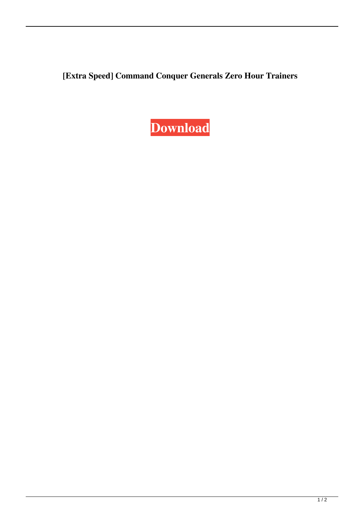**[Extra Speed] Command Conquer Generals Zero Hour Trainers**